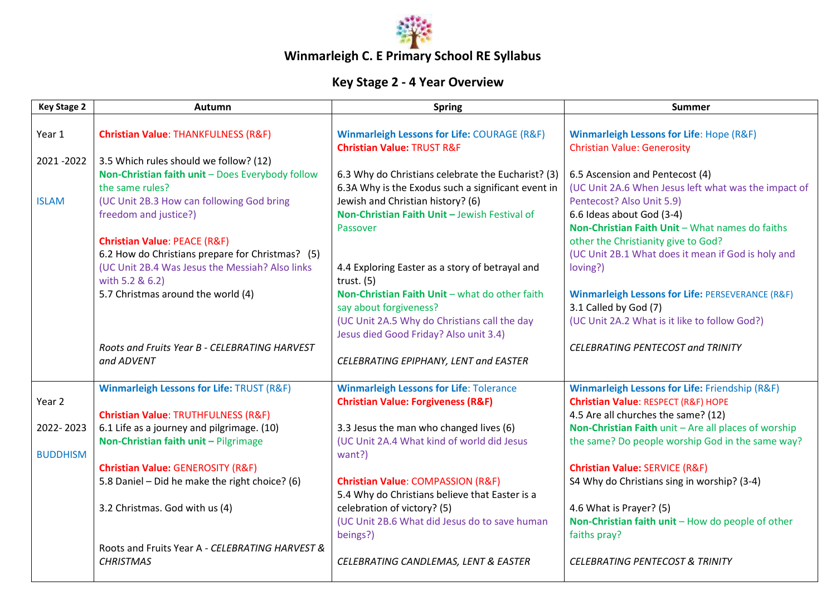

## **Winmarleigh C. E Primary School RE Syllabus**

## **Key Stage 2 - 4 Year Overview**

| <b>Key Stage 2</b> | <b>Autumn</b>                                                                                                                                  | <b>Spring</b>                                                                                                                              | Summer                                                                                                                                  |
|--------------------|------------------------------------------------------------------------------------------------------------------------------------------------|--------------------------------------------------------------------------------------------------------------------------------------------|-----------------------------------------------------------------------------------------------------------------------------------------|
| Year 1             | <b>Christian Value: THANKFULNESS (R&amp;F)</b>                                                                                                 | <b>Winmarleigh Lessons for Life: COURAGE (R&amp;F)</b><br><b>Christian Value: TRUST R&amp;F</b>                                            | <b>Winmarleigh Lessons for Life: Hope (R&amp;F)</b><br><b>Christian Value: Generosity</b>                                               |
| 2021-2022          | 3.5 Which rules should we follow? (12)<br>Non-Christian faith unit - Does Everybody follow<br>the same rules?                                  | 6.3 Why do Christians celebrate the Eucharist? (3)<br>6.3A Why is the Exodus such a significant event in                                   | 6.5 Ascension and Pentecost (4)<br>(UC Unit 2A.6 When Jesus left what was the impact of                                                 |
| <b>ISLAM</b>       | (UC Unit 2B.3 How can following God bring<br>freedom and justice?)                                                                             | Jewish and Christian history? (6)<br>Non-Christian Faith Unit - Jewish Festival of<br>Passover                                             | Pentecost? Also Unit 5.9)<br>6.6 Ideas about God (3-4)<br>Non-Christian Faith Unit - What names do faiths                               |
|                    | <b>Christian Value: PEACE (R&amp;F)</b><br>6.2 How do Christians prepare for Christmas? (5)<br>(UC Unit 2B.4 Was Jesus the Messiah? Also links | 4.4 Exploring Easter as a story of betrayal and                                                                                            | other the Christianity give to God?<br>(UC Unit 2B.1 What does it mean if God is holy and<br>loving?)                                   |
|                    | with 5.2 & 6.2)<br>5.7 Christmas around the world (4)                                                                                          | trust. $(5)$<br>Non-Christian Faith Unit - what do other faith<br>say about forgiveness?<br>(UC Unit 2A.5 Why do Christians call the day   | <b>Winmarleigh Lessons for Life: PERSEVERANCE (R&amp;F)</b><br>3.1 Called by God (7)<br>(UC Unit 2A.2 What is it like to follow God?)   |
|                    | Roots and Fruits Year B - CELEBRATING HARVEST<br>and ADVENT                                                                                    | Jesus died Good Friday? Also unit 3.4)<br>CELEBRATING EPIPHANY, LENT and EASTER                                                            | <b>CELEBRATING PENTECOST and TRINITY</b>                                                                                                |
| Year <sub>2</sub>  | <b>Winmarleigh Lessons for Life: TRUST (R&amp;F)</b><br>Christian Value: TRUTHFULNESS (R&F)                                                    | <b>Winmarleigh Lessons for Life: Tolerance</b><br><b>Christian Value: Forgiveness (R&amp;F)</b>                                            | <b>Winmarleigh Lessons for Life: Friendship (R&amp;F)</b><br>Christian Value: RESPECT (R&F) HOPE<br>4.5 Are all churches the same? (12) |
| 2022-2023          | 6.1 Life as a journey and pilgrimage. (10)<br>Non-Christian faith unit - Pilgrimage                                                            | 3.3 Jesus the man who changed lives (6)<br>(UC Unit 2A.4 What kind of world did Jesus                                                      | Non-Christian Faith unit - Are all places of worship<br>the same? Do people worship God in the same way?                                |
| <b>BUDDHISM</b>    | <b>Christian Value: GENEROSITY (R&amp;F)</b><br>5.8 Daniel - Did he make the right choice? (6)                                                 | want?)<br><b>Christian Value: COMPASSION (R&amp;F)</b>                                                                                     | <b>Christian Value: SERVICE (R&amp;F)</b><br>S4 Why do Christians sing in worship? (3-4)                                                |
|                    | 3.2 Christmas. God with us (4)                                                                                                                 | 5.4 Why do Christians believe that Easter is a<br>celebration of victory? (5)<br>(UC Unit 2B.6 What did Jesus do to save human<br>beings?) | 4.6 What is Prayer? (5)<br>Non-Christian faith unit - How do people of other<br>faiths pray?                                            |
|                    | Roots and Fruits Year A - CELEBRATING HARVEST &<br><b>CHRISTMAS</b>                                                                            | CELEBRATING CANDLEMAS, LENT & EASTER                                                                                                       | <b>CELEBRATING PENTECOST &amp; TRINITY</b>                                                                                              |